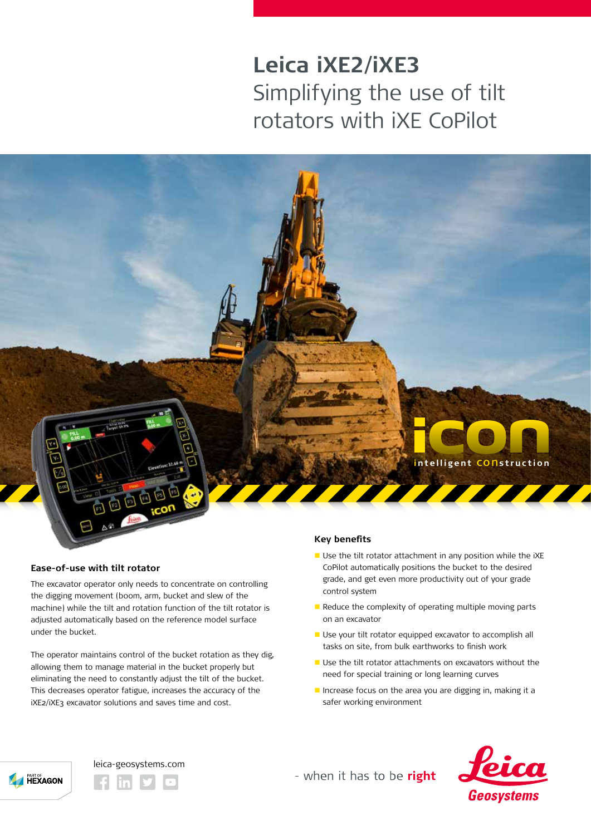# **Leica iXE2/iXE3** Simplifying the use of tilt rotators with iXE CoPilot



#### **Ease-of-use with tilt rotator**

The excavator operator only needs to concentrate on controlling the digging movement (boom, arm, bucket and slew of the machine) while the tilt and rotation function of the tilt rotator is adjusted automatically based on the reference model surface under the bucket.

The operator maintains control of the bucket rotation as they dig, allowing them to manage material in the bucket properly but eliminating the need to constantly adjust the tilt of the bucket. This decreases operator fatigue, increases the accuracy of the iXE2/iXE3 excavator solutions and saves time and cost.

#### **Key benefits**

- $\blacksquare$  Use the tilt rotator attachment in any position while the iXE CoPilot automatically positions the bucket to the desired grade, and get even more productivity out of your grade control system
- $\blacksquare$  Reduce the complexity of operating multiple moving parts on an excavator
- **D** Use your tilt rotator equipped excavator to accomplish all tasks on site, from bulk earthworks to finish work
- Use the tilt rotator attachments on excavators without the need for special training or long learning curves
- **n** Increase focus on the area you are digging in, making it a safer working environment





# leica-geosystems.com



- when it has to be right